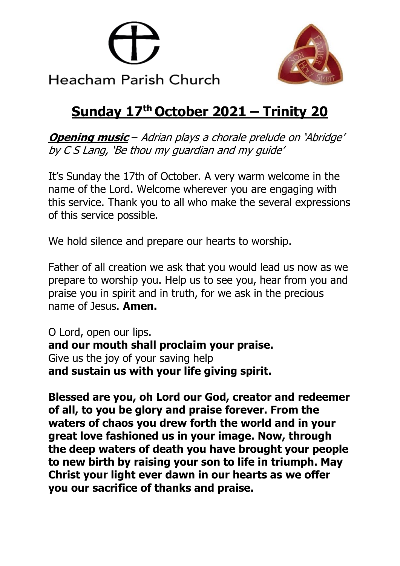



# **Sunday 17 th October 2021 – Trinity 20**

**Opening music** – Adrian plays a chorale prelude on 'Abridge' by C S Lang, 'Be thou my guardian and my guide'

It's Sunday the 17th of October. A very warm welcome in the name of the Lord. Welcome wherever you are engaging with this service. Thank you to all who make the several expressions of this service possible.

We hold silence and prepare our hearts to worship.

Father of all creation we ask that you would lead us now as we prepare to worship you. Help us to see you, hear from you and praise you in spirit and in truth, for we ask in the precious name of Jesus. **Amen.** 

O Lord, open our lips. **and our mouth shall proclaim your praise.** Give us the joy of your saving help **and sustain us with your life giving spirit.**

**Blessed are you, oh Lord our God, creator and redeemer of all, to you be glory and praise forever. From the waters of chaos you drew forth the world and in your great love fashioned us in your image. Now, through the deep waters of death you have brought your people to new birth by raising your son to life in triumph. May Christ your light ever dawn in our hearts as we offer you our sacrifice of thanks and praise.**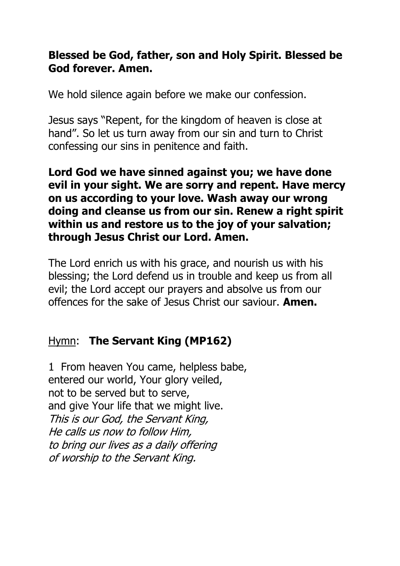#### **Blessed be God, father, son and Holy Spirit. Blessed be God forever. Amen.**

We hold silence again before we make our confession.

Jesus says "Repent, for the kingdom of heaven is close at hand". So let us turn away from our sin and turn to Christ confessing our sins in penitence and faith.

**Lord God we have sinned against you; we have done evil in your sight. We are sorry and repent. Have mercy on us according to your love. Wash away our wrong doing and cleanse us from our sin. Renew a right spirit within us and restore us to the joy of your salvation; through Jesus Christ our Lord. Amen.**

The Lord enrich us with his grace, and nourish us with his blessing; the Lord defend us in trouble and keep us from all evil; the Lord accept our prayers and absolve us from our offences for the sake of Jesus Christ our saviour. **Amen.**

### Hymn: **The Servant King (MP162)**

1 From heaven You came, helpless babe, entered our world, Your glory veiled, not to be served but to serve, and give Your life that we might live. This is our God, the Servant King, He calls us now to follow Him, to bring our lives as a daily offering of worship to the Servant King.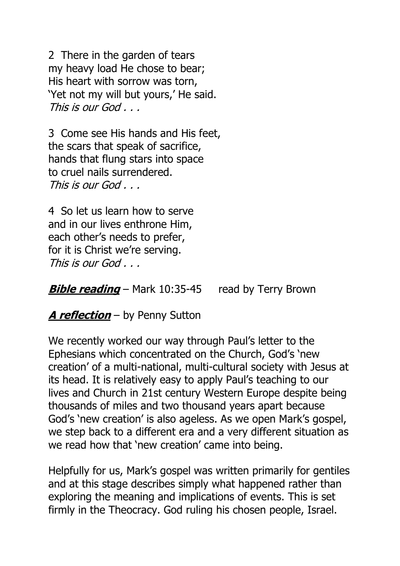2 There in the garden of tears my heavy load He chose to bear; His heart with sorrow was torn, 'Yet not my will but yours,' He said. This is our God  $\ldots$ 

3 Come see His hands and His feet, the scars that speak of sacrifice, hands that flung stars into space to cruel nails surrendered. This is our God . . .

4 So let us learn how to serve and in our lives enthrone Him, each other's needs to prefer, for it is Christ we're serving. This is our God . . .

**Bible reading** – Mark 10:35-45 read by Terry Brown

**A reflection** – by Penny Sutton

We recently worked our way through Paul's letter to the Ephesians which concentrated on the Church, God's 'new creation' of a multi-national, multi-cultural society with Jesus at its head. It is relatively easy to apply Paul's teaching to our lives and Church in 21st century Western Europe despite being thousands of miles and two thousand years apart because God's 'new creation' is also ageless. As we open Mark's gospel, we step back to a different era and a very different situation as we read how that 'new creation' came into being.

Helpfully for us, Mark's gospel was written primarily for gentiles and at this stage describes simply what happened rather than exploring the meaning and implications of events. This is set firmly in the Theocracy. God ruling his chosen people, Israel.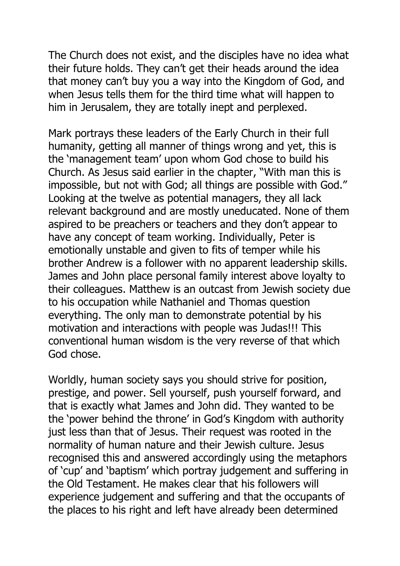The Church does not exist, and the disciples have no idea what their future holds. They can't get their heads around the idea that money can't buy you a way into the Kingdom of God, and when Jesus tells them for the third time what will happen to him in Jerusalem, they are totally inept and perplexed.

Mark portrays these leaders of the Early Church in their full humanity, getting all manner of things wrong and yet, this is the 'management team' upon whom God chose to build his Church. As Jesus said earlier in the chapter, "With man this is impossible, but not with God; all things are possible with God." Looking at the twelve as potential managers, they all lack relevant background and are mostly uneducated. None of them aspired to be preachers or teachers and they don't appear to have any concept of team working. Individually, Peter is emotionally unstable and given to fits of temper while his brother Andrew is a follower with no apparent leadership skills. James and John place personal family interest above loyalty to their colleagues. Matthew is an outcast from Jewish society due to his occupation while Nathaniel and Thomas question everything. The only man to demonstrate potential by his motivation and interactions with people was Judas!!! This conventional human wisdom is the very reverse of that which God chose.

Worldly, human society says you should strive for position, prestige, and power. Sell yourself, push yourself forward, and that is exactly what James and John did. They wanted to be the 'power behind the throne' in God's Kingdom with authority just less than that of Jesus. Their request was rooted in the normality of human nature and their Jewish culture. Jesus recognised this and answered accordingly using the metaphors of 'cup' and 'baptism' which portray judgement and suffering in the Old Testament. He makes clear that his followers will experience judgement and suffering and that the occupants of the places to his right and left have already been determined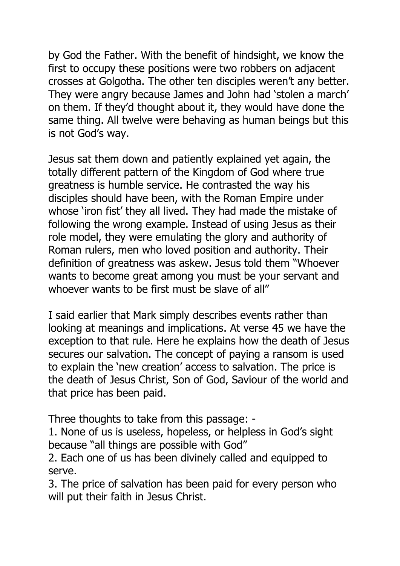by God the Father. With the benefit of hindsight, we know the first to occupy these positions were two robbers on adjacent crosses at Golgotha. The other ten disciples weren't any better. They were angry because James and John had 'stolen a march' on them. If they'd thought about it, they would have done the same thing. All twelve were behaving as human beings but this is not God's way.

Jesus sat them down and patiently explained yet again, the totally different pattern of the Kingdom of God where true greatness is humble service. He contrasted the way his disciples should have been, with the Roman Empire under whose 'iron fist' they all lived. They had made the mistake of following the wrong example. Instead of using Jesus as their role model, they were emulating the glory and authority of Roman rulers, men who loved position and authority. Their definition of greatness was askew. Jesus told them "Whoever wants to become great among you must be your servant and whoever wants to be first must be slave of all"

I said earlier that Mark simply describes events rather than looking at meanings and implications. At verse 45 we have the exception to that rule. Here he explains how the death of Jesus secures our salvation. The concept of paying a ransom is used to explain the 'new creation' access to salvation. The price is the death of Jesus Christ, Son of God, Saviour of the world and that price has been paid.

Three thoughts to take from this passage: -

1. None of us is useless, hopeless, or helpless in God's sight because "all things are possible with God"

2. Each one of us has been divinely called and equipped to serve.

3. The price of salvation has been paid for every person who will put their faith in Jesus Christ.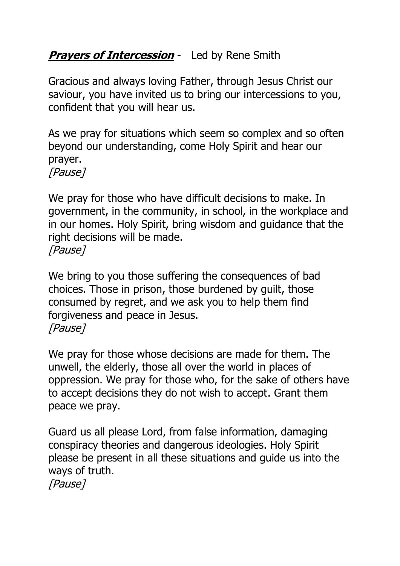## *Pravers of Intercession* - Led by Rene Smith

Gracious and always loving Father, through Jesus Christ our saviour, you have invited us to bring our intercessions to you, confident that you will hear us.

As we pray for situations which seem so complex and so often beyond our understanding, come Holy Spirit and hear our prayer. [Pause]

We pray for those who have difficult decisions to make. In government, in the community, in school, in the workplace and in our homes. Holy Spirit, bring wisdom and guidance that the right decisions will be made. [Pause]

We bring to you those suffering the consequences of bad choices. Those in prison, those burdened by guilt, those consumed by regret, and we ask you to help them find forgiveness and peace in Jesus. [Pause]

We pray for those whose decisions are made for them. The unwell, the elderly, those all over the world in places of oppression. We pray for those who, for the sake of others have to accept decisions they do not wish to accept. Grant them peace we pray.

Guard us all please Lord, from false information, damaging conspiracy theories and dangerous ideologies. Holy Spirit please be present in all these situations and guide us into the ways of truth.

[Pause]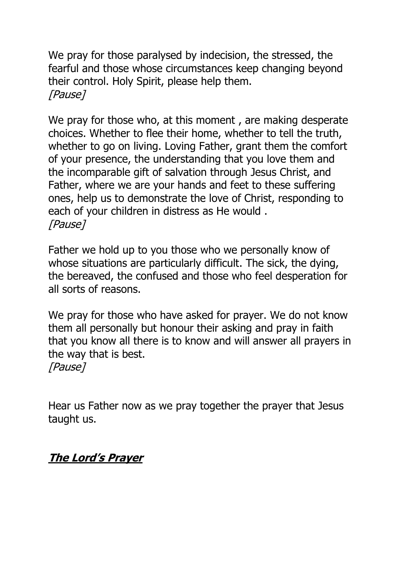We pray for those paralysed by indecision, the stressed, the fearful and those whose circumstances keep changing beyond their control. Holy Spirit, please help them. [Pause]

We pray for those who, at this moment, are making desperate choices. Whether to flee their home, whether to tell the truth, whether to go on living. Loving Father, grant them the comfort of your presence, the understanding that you love them and the incomparable gift of salvation through Jesus Christ, and Father, where we are your hands and feet to these suffering ones, help us to demonstrate the love of Christ, responding to each of your children in distress as He would . [Pause]

Father we hold up to you those who we personally know of whose situations are particularly difficult. The sick, the dying, the bereaved, the confused and those who feel desperation for all sorts of reasons.

We pray for those who have asked for prayer. We do not know them all personally but honour their asking and pray in faith that you know all there is to know and will answer all prayers in the way that is best.

[Pause]

Hear us Father now as we pray together the prayer that Jesus taught us.

### **The Lord's Prayer**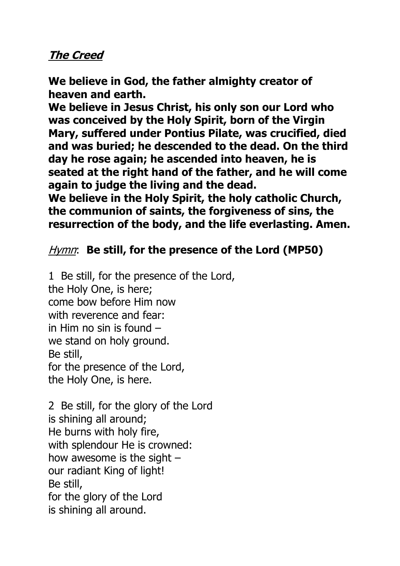### **The Creed**

**We believe in God, the father almighty creator of heaven and earth.**

**We believe in Jesus Christ, his only son our Lord who was conceived by the Holy Spirit, born of the Virgin Mary, suffered under Pontius Pilate, was crucified, died and was buried; he descended to the dead. On the third day he rose again; he ascended into heaven, he is seated at the right hand of the father, and he will come again to judge the living and the dead.**

**We believe in the Holy Spirit, the holy catholic Church, the communion of saints, the forgiveness of sins, the resurrection of the body, and the life everlasting. Amen.**

### Hymn: **Be still, for the presence of the Lord (MP50)**

1 Be still, for the presence of the Lord, the Holy One, is here; come bow before Him now with reverence and fear: in Him no sin is found – we stand on holy ground. Be still, for the presence of the Lord, the Holy One, is here.

2 Be still, for the glory of the Lord is shining all around; He burns with holy fire, with splendour He is crowned: how awesome is the sight – our radiant King of light! Be still, for the glory of the Lord is shining all around.